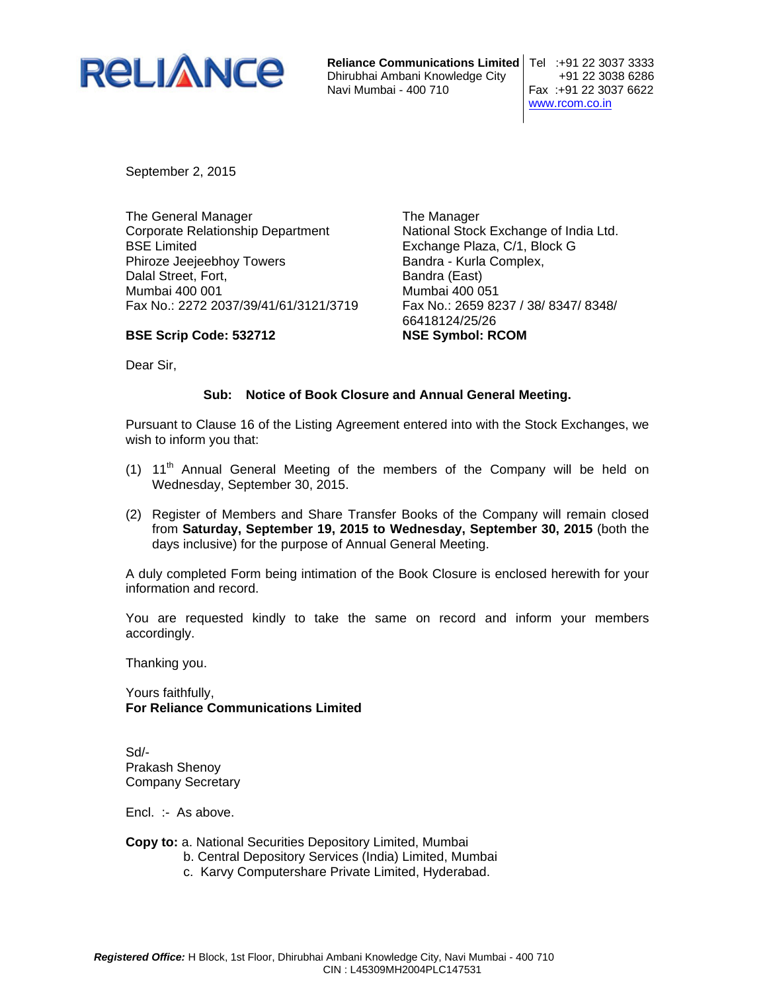

**Reliance Communications Limited** Tel :+91 22 3037 3333 Dhirubhai Ambani Knowledge City +91 22 3038 6286 Navi Mumbai - 400 710

www.rcom.co.in

September 2, 2015

**BSE Scrip Code: 532712** 

The General Manager Corporate Relationship Department BSE Limited Phiroze Jeejeebhoy Towers Dalal Street, Fort, Mumbai 400 001 Fax No.: 2272 2037/39/41/61/3121/3719

The Manager National Stock Exchange of India Ltd. Exchange Plaza, C/1, Block G Bandra - Kurla Complex, Bandra (East) Mumbai 400 051 Fax No.: 2659 8237 / 38/ 8347/ 8348/ 66418124/25/26 **NSE Symbol: RCOM** 

Dear Sir,

## **Sub: Notice of Book Closure and Annual General Meeting.**

Pursuant to Clause 16 of the Listing Agreement entered into with the Stock Exchanges, we wish to inform you that:

- (1)  $11<sup>th</sup>$  Annual General Meeting of the members of the Company will be held on Wednesday, September 30, 2015.
- (2) Register of Members and Share Transfer Books of the Company will remain closed from **Saturday, September 19, 2015 to Wednesday, September 30, 2015** (both the days inclusive) for the purpose of Annual General Meeting.

A duly completed Form being intimation of the Book Closure is enclosed herewith for your information and record.

You are requested kindly to take the same on record and inform your members accordingly.

Thanking you.

Yours faithfully, **For Reliance Communications Limited** 

Sd/- Prakash Shenoy Company Secretary

Encl. :- As above.

## **Copy to:** a. National Securities Depository Limited, Mumbai

- b. Central Depository Services (India) Limited, Mumbai
- c. Karvy Computershare Private Limited, Hyderabad.